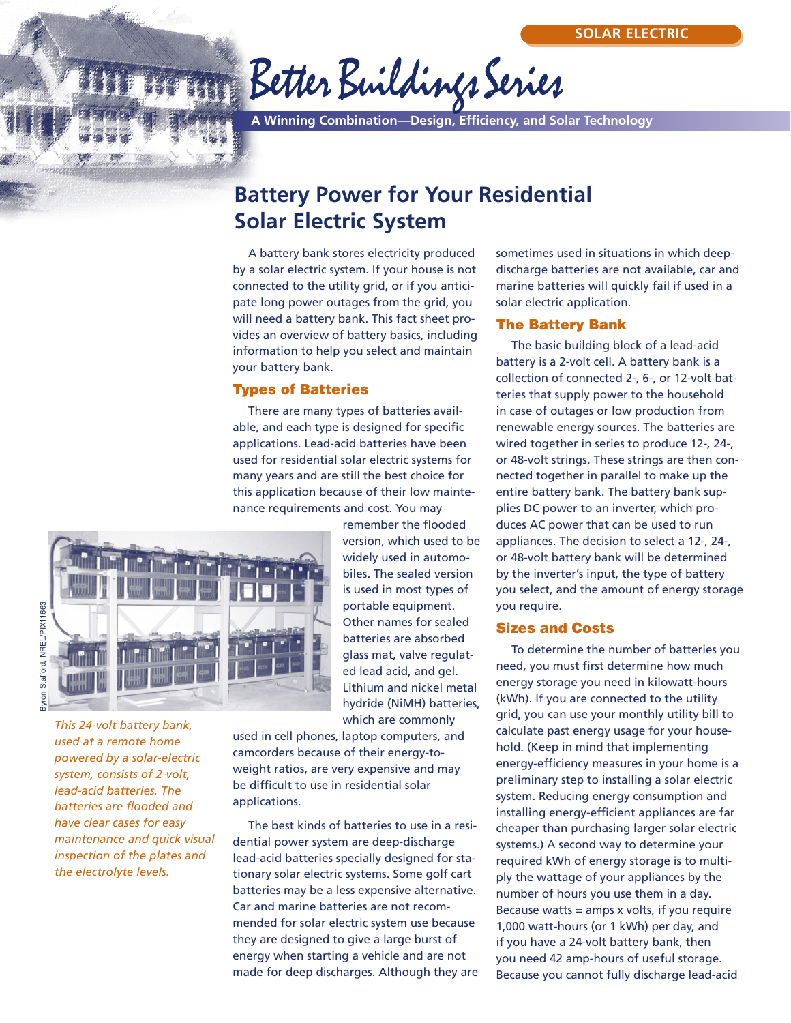# Better Buildings Series

**A Winning Combination—Design, Efficiency, and Solar Technology**

# **Battery Power for Your Residential Solar Electric System**

A battery bank stores electricity produced by a solar electric system. If your house is not connected to the utility grid, or if you anticipate long power outages from the grid, you will need a battery bank. This fact sheet provides an overview of battery basics, including information to help you select and maintain your battery bank.

## **Types of Batteries**

There are many types of batteries available, and each type is designed for specific applications. Lead-acid batteries have been used for residential solar electric systems for many years and are still the best choice for this application because of their low maintenance requirements and cost. You may



Byron Stafford, NREL/PIX11663 Byron Stafford, NREL/PIX11663

> *This 24-volt battery bank, used at a remote home powered by a solar-electric system, consists of 2-volt, lead-acid batteries. The batteries are flooded and have clear cases for easy maintenance and quick visual inspection of the plates and the electrolyte levels.*

remember the flooded version, which used to be widely used in automobiles. The sealed version is used in most types of portable equipment. Other names for sealed batteries are absorbed glass mat, valve regulated lead acid, and gel. Lithium and nickel metal hydride (NiMH) batteries, which are commonly

used in cell phones, laptop computers, and camcorders because of their energy-toweight ratios, are very expensive and may be difficult to use in residential solar applications.

The best kinds of batteries to use in a residential power system are deep-discharge lead-acid batteries specially designed for stationary solar electric systems. Some golf cart batteries may be a less expensive alternative. Car and marine batteries are not recommended for solar electric system use because they are designed to give a large burst of energy when starting a vehicle and are not made for deep discharges. Although they are sometimes used in situations in which deepdischarge batteries are not available, car and marine batteries will quickly fail if used in a solar electric application.

#### **The Battery Bank**

The basic building block of a lead-acid battery is a 2-volt cell. A battery bank is a collection of connected 2-, 6-, or 12-volt batteries that supply power to the household in case of outages or low production from renewable energy sources. The batteries are wired together in series to produce 12-, 24-, or 48-volt strings. These strings are then connected together in parallel to make up the entire battery bank. The battery bank supplies DC power to an inverter, which produces AC power that can be used to run appliances. The decision to select a 12-, 24-, or 48-volt battery bank will be determined by the inverter's input, the type of battery you select, and the amount of energy storage you require.

#### **Sizes and Costs**

To determine the number of batteries you need, you must first determine how much energy storage you need in kilowatt-hours (kWh). If you are connected to the utility grid, you can use your monthly utility bill to calculate past energy usage for your household. (Keep in mind that implementing energy-efficiency measures in your home is a preliminary step to installing a solar electric system. Reducing energy consumption and installing energy-efficient appliances are far cheaper than purchasing larger solar electric systems.) A second way to determine your required kWh of energy storage is to multiply the wattage of your appliances by the number of hours you use them in a day. Because watts  $=$  amps x volts, if you require 1,000 watt-hours (or 1 kWh) per day, and if you have a 24-volt battery bank, then you need 42 amp-hours of useful storage. Because you cannot fully discharge lead-acid